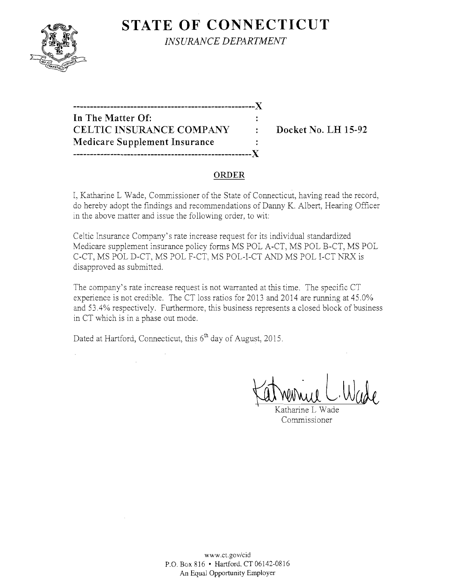

**STATE OF CONNECTICUT** *INSURANCE DEPARTMENT* 

**In The Matter Of: CELTIC INSURANCE COMPANY** : Docket No. LH 15-92 **Medicare Supplement Insurance -----------------------------------------------------)(** 

**------------------------------------------------------J(** 

## **ORDER**

 $\mathbf{r}$ 

I, Katharine L Wade, Commissioner of the State of Connecticut, having read the record, do hereby adopt the findings and recommendations of Danny K. Albert, Hearing Officer in the above matter and issue the following order, to wit:

Celtic Insurance Company's rate increase request for its individual standardized Medicare supplement insurance policy forms MS POL A-CT, MS POL B-CT, MS POL C-CT, MS POL D-CT, MS POL F-CT, MS POL-I-CT AND MS POL I-CT NRX is disapproved as submitted.

The company's rate increase request is not warranted at this time. The specific CT experience is not credible. The CT loss ratios for 2013 and 2014 are running at 45.0% and 53.4% respectively. Furthermore, this business represents a closed block of business in CT which is in a phase out mode.

Dated at Hartford, Connecticut, this 6<sup>th</sup> day of August, 2015.

Katherrice C.Wade

Katharine L Wade Commissioner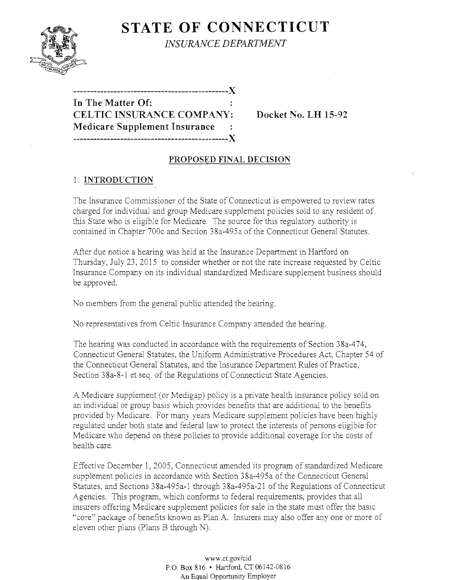

**STATE OF CONNECTICUT** *INSURANCE DEPARTMENT* 

**----------------------------------------------)( In The Matter Of: CELTIC INSURANCE COMPANY: Docket No. LH 15-92 Medicare Supplement Insurance ----------------------------------------------)(** 

#### **PROPOSED FINAL DECISION**

#### 1. **INTRODUCTION**

The Insurance Commissioner of the State of Connecticut is empowered to review rates charged for individual and group Medicare supplement policies sold to any resident of this State who is eligible for Medicare. The source for this regulatory authority is contained in Chapter 700c and Section 38a-495a of the Connecticut General Statutes.

After due notice a hearing was held at the Insurance Department in Hartford on Thursday, July 23, 2015 to consider whether or not the rate increase requested by Celtic Insurance Company on its individual standardized Medicare supplement business should be approved.

No members from the general public attended the hearing.

No representatives from Celtic Insurance Company attended the hearing.

The hearing was conducted in accordance with the requirements of Section 38a-474, Connecticut General Statutes, the Uniform Administrative Procedures Act, Chapter 54 of the Connecticut General Statutes, and the Insurance Department Rules of Practice, Section 38a-8-l et seq. of the Regulations of Connecticut State Agencies.

A Medicare supplement (or Medigap) policy is a private health insurance policy sold on an individual or group basis which provides benefits that are additional to the benefits provided by Medicare. For many years Medicare supplement policies have been highly regulated under both state and federal law to protect the interests of persons eligible for Medicare who depend on these policies to provide additional coverage for the costs of health care.

Effective December 1,2005, Connecticut amended its program of standardized Medicare supplement policies in accordance with Section 38a-495a of the Connecticut General Statutes, and Sections 38a-495a-l through 38a-495a-2l of the Regulations of Connecticut Agencies. This program, which conforms to federal requirements, provides that all insurers offering Medicare supplement policies for sale in the state must offer the basic "core" package of benefits known as Plan A. Insurers may also offer anyone or more of eleven other plans (Plans B through N).

> www.ct.gov/cid P.O. Box 816 • Hartford, CT06142-08l6 An Equal Opportunity Employer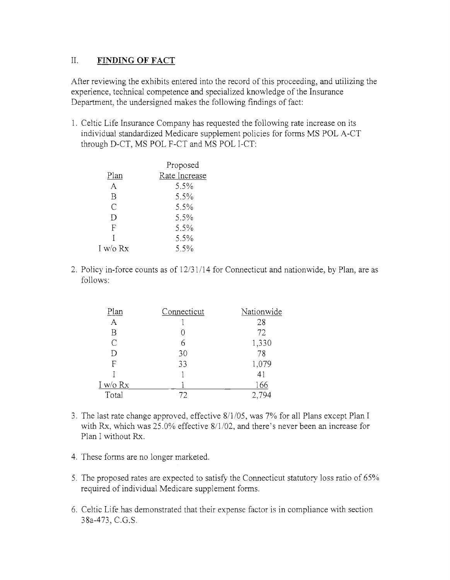# II. **FINDING OF FACT**

After reviewing the exhibits entered into the record of this proceeding, and utilizing the experience, technical competence and specialized knowledge of the Insurance Department, the undersigned makes the following findings of fact:

1. Celtic Life Insurance Company has requested the following rate increase on its individual standardized Medicare supplement policies for forms MS POL A-CT through D-CT, MS POL F-CT and MS POL I-CT:

|          | Proposed      |  |
|----------|---------------|--|
| Plan     | Rate Increase |  |
| A        | 5.5%          |  |
| В        | 5.5%          |  |
| C        | 5.5%          |  |
| Đ        | 5.5%          |  |
| F        | 5.5%          |  |
| T        | 5.5%          |  |
| I w/o Rx | 5.5%          |  |
|          |               |  |

2. Policy in-force counts as of *12/31/14* for Connecticut and nationwide, by Plan, are as follows:

| Plan          | Connecticut | Nationwide |
|---------------|-------------|------------|
| A             |             | 28         |
| Β             |             | 72         |
| $\mathcal{C}$ | 6           | 1,330      |
| D             | 30          | 78         |
| F             | 33          | 1,079      |
|               |             | 41         |
| I w/o Rx      |             | 166        |
| Total         | 72          | 2,794      |
|               |             |            |

- 3. The last rate change approved, effective 8/1*105,* was 7% for all Plans except Plan I with Rx, which was 25.0% effective *8/1/02,* and there's never been an increase for Plan I without Rx.
- 4. These forms are no longer marketed.
- 5. The proposed rates are expected to satisfy the Connecticut statutory loss ratio of 65% required of individual Medicare supplement forms.
- 6. Celtic Life has demonstrated that their expense factor is in compliance with section 38a-473, C.G.S.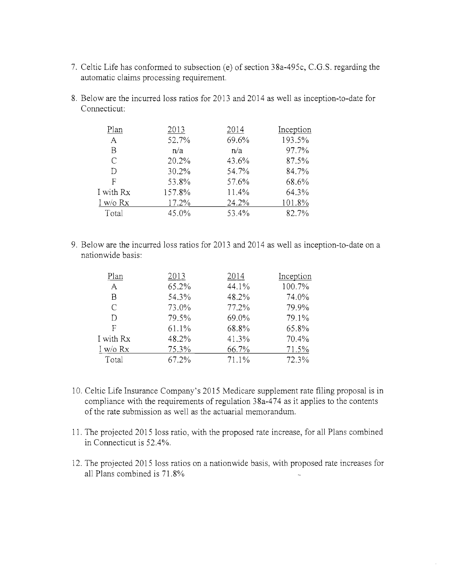- 7. Celtic Life has conformed to subsection (e) of section 38a-495c, C.G.S. regarding the automatic claims processing requirement.
- 8. Below are the incurred loss ratios for 2013 and 2014 as well as inception-to-date for Connecticut:

| Plan         | 2013   | 2014  | Inception |
|--------------|--------|-------|-----------|
| Α            | 52.7%  | 69.6% | 193.5%    |
| В            | n/a    | n/a   | 97.7%     |
| C            | 20.2%  | 43.6% | 87.5%     |
| D            | 30.2%  | 54.7% | 84.7%     |
| F            | 53.8%  | 57.6% | 68.6%     |
| I with Rx    | 157.8% | 11.4% | 64.3%     |
| $I$ w/o $Rx$ | 17.2%  | 24.2% | 101.8%    |
| Total        | 45.0%  | 53.4% | 82.7%     |

9. Below are the incurred loss ratios for 2013 and 2014 as well as inception-to-date on a nationwide basis:

| Plan         | 2013  | 2014  | Inception |
|--------------|-------|-------|-----------|
| A            | 65.2% | 44.1% | 100.7%    |
| R            | 54.3% | 48.2% | 74.0%     |
| C            | 73.0% | 77.2% | 79.9%     |
| D            | 79.5% | 69.0% | 79.1%     |
| F            | 61.1% | 68.8% | 65.8%     |
| I with Rx    | 48.2% | 41.3% | 70.4%     |
| $I$ w/o $Rx$ | 75.3% | 66.7% | 71.5%     |
| Total        | 67.2% | 71.1% | 72.3%     |

- 10. Celtic Life Insurance Company's 2015 Medicare supplement rate filing proposal is in compliance with the requirements of regulation 38a-474 as it applies to the contents of the rate submission as well as the actuarial memorandum.
- 11. The projected 2015 loss ratio, with the proposed rate increase, for all Plans combined in Connecticut is 52.4%.
- 12. The projected 2015 loss ratios on a nationwide basis, with proposed rate increases for all Plans combined is 71.8%  $\mathbb{Z}$